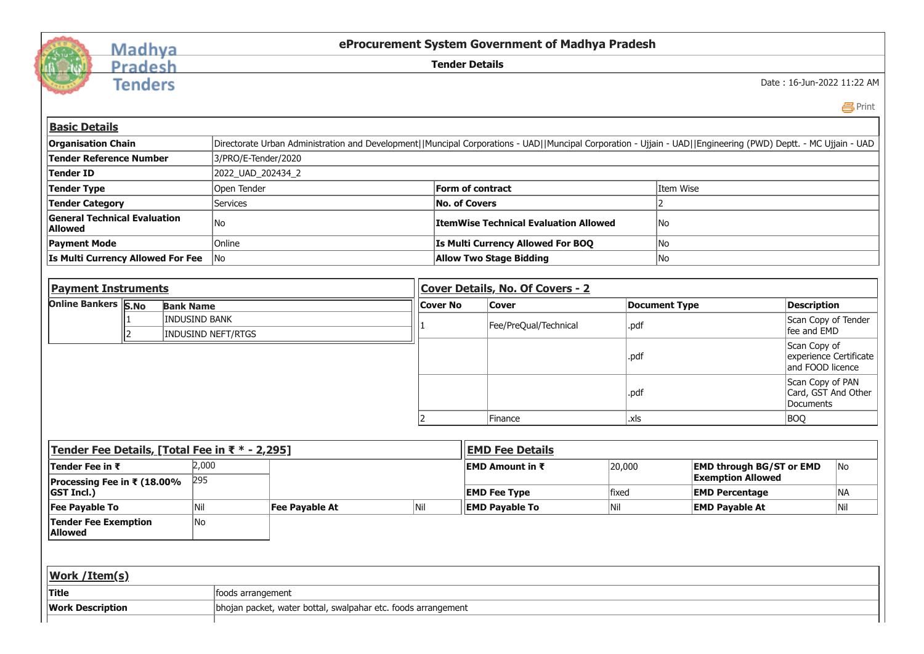

## Madhya<br>Pradesh

**Tenders** 

**eProcurement System Government of Madhya Pradesh**

**Tender Details**

Date : 16-Jun-2022 11:22 AM

 [Print](javascript:void(0);)

| <b>Basic Details</b>                                  |                                                                                                                                                                |                                              |           |  |  |  |  |
|-------------------------------------------------------|----------------------------------------------------------------------------------------------------------------------------------------------------------------|----------------------------------------------|-----------|--|--|--|--|
| <b>Organisation Chain</b>                             | Directorate Urban Administration and Development  Muncipal Corporations - UAD  Muncipal Corporation - Ujjain - UAD  Engineering (PWD) Deptt. - MC Ujjain - UAD |                                              |           |  |  |  |  |
| Tender Reference Number                               | 3/PRO/E-Tender/2020                                                                                                                                            |                                              |           |  |  |  |  |
| Tender ID                                             | 2022_UAD_202434_2                                                                                                                                              |                                              |           |  |  |  |  |
| Tender Type                                           | Open Tender                                                                                                                                                    | Form of contract                             | Item Wise |  |  |  |  |
| <b>Tender Category</b>                                | Services                                                                                                                                                       | No. of Covers                                |           |  |  |  |  |
| <b>General Technical Evaluation</b><br><b>Allowed</b> | No                                                                                                                                                             | <b>ItemWise Technical Evaluation Allowed</b> | No        |  |  |  |  |
| <b>Payment Mode</b>                                   | Online                                                                                                                                                         | Is Multi Currency Allowed For BOO            | No        |  |  |  |  |
| <b>Is Multi Currency Allowed For Fee</b>              | No                                                                                                                                                             | <b>Allow Two Stage Bidding</b>               | No        |  |  |  |  |
|                                                       |                                                                                                                                                                |                                              |           |  |  |  |  |

| <b>Payment Instruments</b> |  | <b>Cover Details, No. Of Covers - 2</b>    |                 |                       |                      |                                                            |  |
|----------------------------|--|--------------------------------------------|-----------------|-----------------------|----------------------|------------------------------------------------------------|--|
| Online Bankers S.No        |  | <b>Bank Name</b>                           | <b>Cover No</b> | <b>Cover</b>          | <b>Document Type</b> | Description                                                |  |
|                            |  | <b>INDUSIND BANK</b><br>INDUSIND NEFT/RTGS |                 | Fee/PreQual/Technical | .pdf                 | Scan Copy of Tender<br>fee and EMD                         |  |
|                            |  |                                            |                 |                       | .pdf                 | Scan Copy of<br>experience Certificate<br>and FOOD licence |  |
|                            |  |                                            |                 |                       | .pdf                 | Scan Copy of PAN<br>Card, GST And Other<br>Documents       |  |
|                            |  |                                            |                 | <b>IFinance</b>       | .xls                 | <b>BOQ</b>                                                 |  |

| Tender Fee Details, [Total Fee in ₹ * - 2,295] |                   |                                                               |     | <b>EMD Fee Details</b>  |        |                                 |                 |  |
|------------------------------------------------|-------------------|---------------------------------------------------------------|-----|-------------------------|--------|---------------------------------|-----------------|--|
| Tender Fee in ₹                                | 2,000             |                                                               |     | <b>IEMD Amount in ₹</b> | 20,000 | <b>EMD through BG/ST or EMD</b> | IN <sub>o</sub> |  |
| Processing Fee in ₹ (18.00%                    | 295               |                                                               |     |                         |        | <b>Exemption Allowed</b>        |                 |  |
| <b>GST Incl.)</b>                              |                   |                                                               |     | <b>EMD Fee Type</b>     | fixed  | <b>EMD Percentage</b>           | INA.            |  |
| <b>Fee Payable To</b>                          |                   | Fee Payable At                                                | Nil | <b>EMD Payable To</b>   | Nil    | <b>EMD Payable At</b>           | Nil             |  |
| <b>Tender Fee Exemption</b><br><b>Allowed</b>  | No                |                                                               |     |                         |        |                                 |                 |  |
|                                                |                   |                                                               |     |                         |        |                                 |                 |  |
| <b>Work / Item(s)</b>                          |                   |                                                               |     |                         |        |                                 |                 |  |
| <b>Title</b>                                   | foods arrangement |                                                               |     |                         |        |                                 |                 |  |
| <b>Work Description</b>                        |                   | bhojan packet, water bottal, swalpahar etc. foods arrangement |     |                         |        |                                 |                 |  |
|                                                |                   |                                                               |     |                         |        |                                 |                 |  |